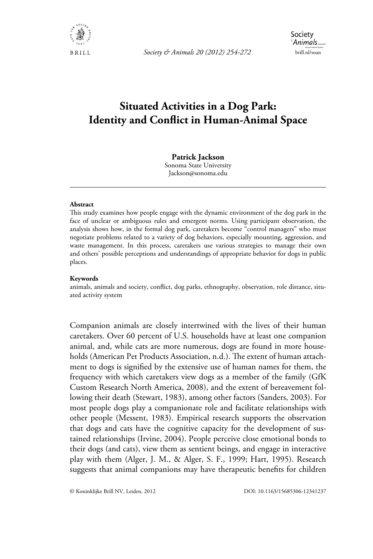

*Society & Animals 20 (2012) 254-272* brill.nl/soan

# **Situated Activities in a Dog Park: Identity and Conflict in Human-Animal Space**

#### **Patrick Jackson**

Sonoma State University Jackson@sonoma.edu

#### **Abstract**

This study examines how people engage with the dynamic environment of the dog park in the face of unclear or ambiguous rules and emergent norms. Using participant observation, the analysis shows how, in the formal dog park, caretakers become "control managers" who must negotiate problems related to a variety of dog behaviors, especially mounting, aggression, and waste management. In this process, caretakers use various strategies to manage their own and others' possible perceptions and understandings of appropriate behavior for dogs in public places.

#### **Keywords**

animals, animals and society, conflict, dog parks, ethnography, observation, role distance, situated activity system

Companion animals are closely intertwined with the lives of their human caretakers. Over 60 percent of U.S. households have at least one companion animal, and, while cats are more numerous, dogs are found in more households (American Pet Products Association, n.d.). The extent of human attachment to dogs is signified by the extensive use of human names for them, the frequency with which caretakers view dogs as a member of the family (GfK Custom Research North America, 2008), and the extent of bereavement following their death (Stewart, 1983), among other factors (Sanders, 2003). For most people dogs play a companionate role and facilitate relationships with other people (Messent, 1983). Empirical research supports the observation that dogs and cats have the cognitive capacity for the development of sustained relationships (Irvine, 2004). People perceive close emotional bonds to their dogs (and cats), view them as sentient beings, and engage in interactive play with them (Alger, J. M., & Alger, S. F., 1999; Hart, 1995). Research suggests that animal companions may have therapeutic benefits for children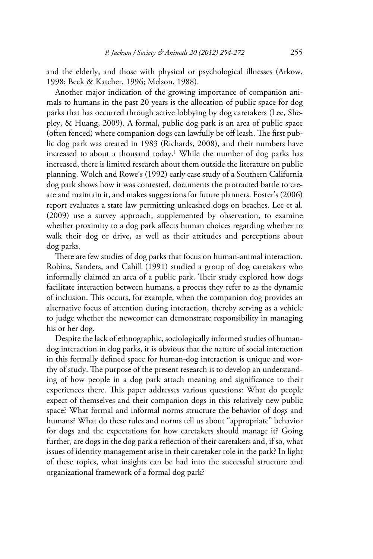and the elderly, and those with physical or psychological illnesses (Arkow, 1998; Beck & Katcher, 1996; Melson, 1988).

Another major indication of the growing importance of companion animals to humans in the past 20 years is the allocation of public space for dog parks that has occurred through active lobbying by dog caretakers (Lee, Shepley, & Huang, 2009). A formal, public dog park is an area of public space (often fenced) where companion dogs can lawfully be off leash. The first public dog park was created in 1983 (Richards, 2008), and their numbers have increased to about a thousand today.<sup>1</sup> While the number of dog parks has increased, there is limited research about them outside the literature on public planning. Wolch and Rowe's (1992) early case study of a Southern California dog park shows how it was contested, documents the protracted battle to create and maintain it, and makes suggestions for future planners. Foster's (2006) report evaluates a state law permitting unleashed dogs on beaches. Lee et al. (2009) use a survey approach, supplemented by observation, to examine whether proximity to a dog park affects human choices regarding whether to walk their dog or drive, as well as their attitudes and perceptions about dog parks.

There are few studies of dog parks that focus on human-animal interaction. Robins, Sanders, and Cahill (1991) studied a group of dog caretakers who informally claimed an area of a public park. Their study explored how dogs facilitate interaction between humans, a process they refer to as the dynamic of inclusion. This occurs, for example, when the companion dog provides an alternative focus of attention during interaction, thereby serving as a vehicle to judge whether the newcomer can demonstrate responsibility in managing his or her dog.

Despite the lack of ethnographic, sociologically informed studies of humandog interaction in dog parks, it is obvious that the nature of social interaction in this formally defined space for human-dog interaction is unique and worthy of study. The purpose of the present research is to develop an understanding of how people in a dog park attach meaning and significance to their experiences there. This paper addresses various questions: What do people expect of themselves and their companion dogs in this relatively new public space? What formal and informal norms structure the behavior of dogs and humans? What do these rules and norms tell us about "appropriate" behavior for dogs and the expectations for how caretakers should manage it? Going further, are dogs in the dog park a reflection of their caretakers and, if so, what issues of identity management arise in their caretaker role in the park? In light of these topics, what insights can be had into the successful structure and organizational framework of a formal dog park?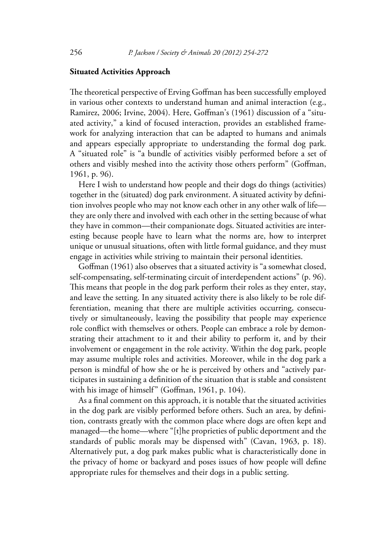### **Situated Activities Approach**

The theoretical perspective of Erving Goffman has been successfully employed in various other contexts to understand human and animal interaction (e.g., Ramirez, 2006; Irvine, 2004). Here, Goffman's (1961) discussion of a "situated activity," a kind of focused interaction, provides an established framework for analyzing interaction that can be adapted to humans and animals and appears especially appropriate to understanding the formal dog park. A "situated role" is "a bundle of activities visibly performed before a set of others and visibly meshed into the activity those others perform" (Goffman, 1961, p. 96).

Here I wish to understand how people and their dogs do things (activities) together in the (situated) dog park environment. A situated activity by definition involves people who may not know each other in any other walk of life they are only there and involved with each other in the setting because of what they have in common—their companionate dogs. Situated activities are interesting because people have to learn what the norms are, how to interpret unique or unusual situations, often with little formal guidance, and they must engage in activities while striving to maintain their personal identities.

Goffman (1961) also observes that a situated activity is "a somewhat closed, self-compensating, self-terminating circuit of interdependent actions" (p. 96). This means that people in the dog park perform their roles as they enter, stay, and leave the setting. In any situated activity there is also likely to be role differentiation, meaning that there are multiple activities occurring, consecutively or simultaneously, leaving the possibility that people may experience role conflict with themselves or others. People can embrace a role by demonstrating their attachment to it and their ability to perform it, and by their involvement or engagement in the role activity. Within the dog park, people may assume multiple roles and activities. Moreover, while in the dog park a person is mindful of how she or he is perceived by others and "actively participates in sustaining a definition of the situation that is stable and consistent with his image of himself" (Goffman, 1961, p. 104).

As a final comment on this approach, it is notable that the situated activities in the dog park are visibly performed before others. Such an area, by definition, contrasts greatly with the common place where dogs are often kept and managed—the home—where "[t]he proprieties of public deportment and the standards of public morals may be dispensed with" (Cavan, 1963, p. 18). Alternatively put, a dog park makes public what is characteristically done in the privacy of home or backyard and poses issues of how people will define appropriate rules for themselves and their dogs in a public setting.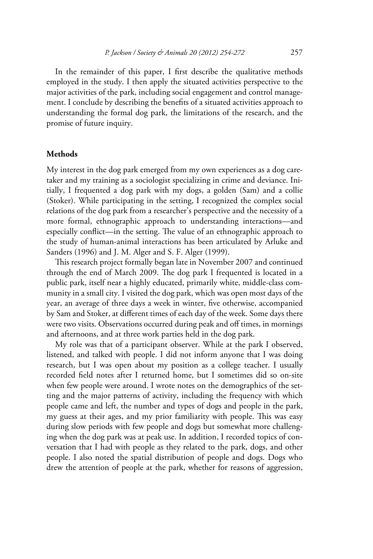In the remainder of this paper, I first describe the qualitative methods employed in the study. I then apply the situated activities perspective to the major activities of the park, including social engagement and control management. I conclude by describing the benefits of a situated activities approach to understanding the formal dog park, the limitations of the research, and the promise of future inquiry.

# **Methods**

My interest in the dog park emerged from my own experiences as a dog caretaker and my training as a sociologist specializing in crime and deviance. Initially, I frequented a dog park with my dogs, a golden (Sam) and a collie (Stoker). While participating in the setting, I recognized the complex social relations of the dog park from a researcher's perspective and the necessity of a more formal, ethnographic approach to understanding interactions—and especially conflict—in the setting. The value of an ethnographic approach to the study of human-animal interactions has been articulated by Arluke and Sanders (1996) and J. M. Alger and S. F. Alger (1999).

This research project formally began late in November 2007 and continued through the end of March 2009. The dog park I frequented is located in a public park, itself near a highly educated, primarily white, middle-class community in a small city. I visited the dog park, which was open most days of the year, an average of three days a week in winter, five otherwise, accompanied by Sam and Stoker, at different times of each day of the week. Some days there were two visits. Observations occurred during peak and off times, in mornings and afternoons, and at three work parties held in the dog park.

My role was that of a participant observer. While at the park I observed, listened, and talked with people. I did not inform anyone that I was doing research, but I was open about my position as a college teacher. I usually recorded field notes after I returned home, but I sometimes did so on-site when few people were around. I wrote notes on the demographics of the setting and the major patterns of activity, including the frequency with which people came and left, the number and types of dogs and people in the park, my guess at their ages, and my prior familiarity with people. This was easy during slow periods with few people and dogs but somewhat more challenging when the dog park was at peak use. In addition, I recorded topics of conversation that I had with people as they related to the park, dogs, and other people. I also noted the spatial distribution of people and dogs. Dogs who drew the attention of people at the park, whether for reasons of aggression,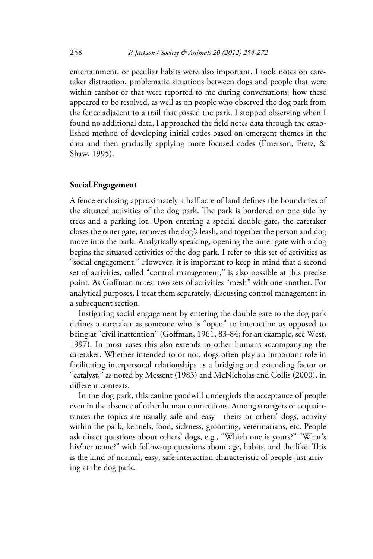entertainment, or peculiar habits were also important. I took notes on caretaker distraction, problematic situations between dogs and people that were within earshot or that were reported to me during conversations, how these appeared to be resolved, as well as on people who observed the dog park from the fence adjacent to a trail that passed the park. I stopped observing when I found no additional data. I approached the field notes data through the established method of developing initial codes based on emergent themes in the data and then gradually applying more focused codes (Emerson, Fretz, & Shaw, 1995).

# **Social Engagement**

A fence enclosing approximately a half acre of land defines the boundaries of the situated activities of the dog park. The park is bordered on one side by trees and a parking lot. Upon entering a special double gate, the caretaker closes the outer gate, removes the dog's leash, and together the person and dog move into the park. Analytically speaking, opening the outer gate with a dog begins the situated activities of the dog park. I refer to this set of activities as "social engagement." However, it is important to keep in mind that a second set of activities, called "control management," is also possible at this precise point. As Goffman notes, two sets of activities "mesh" with one another. For analytical purposes, I treat them separately, discussing control management in a subsequent section.

Instigating social engagement by entering the double gate to the dog park defines a caretaker as someone who is "open" to interaction as opposed to being at "civil inattention" (Goffman, 1961, 83-84; for an example, see West, 1997). In most cases this also extends to other humans accompanying the caretaker. Whether intended to or not, dogs often play an important role in facilitating interpersonal relationships as a bridging and extending factor or "catalyst," as noted by Messent (1983) and McNicholas and Collis (2000), in different contexts.

In the dog park, this canine goodwill undergirds the acceptance of people even in the absence of other human connections. Among strangers or acquaintances the topics are usually safe and easy—theirs or others' dogs, activity within the park, kennels, food, sickness, grooming, veterinarians, etc. People ask direct questions about others' dogs, e.g., "Which one is yours?" "What's his/her name?" with follow-up questions about age, habits, and the like. This is the kind of normal, easy, safe interaction characteristic of people just arriving at the dog park.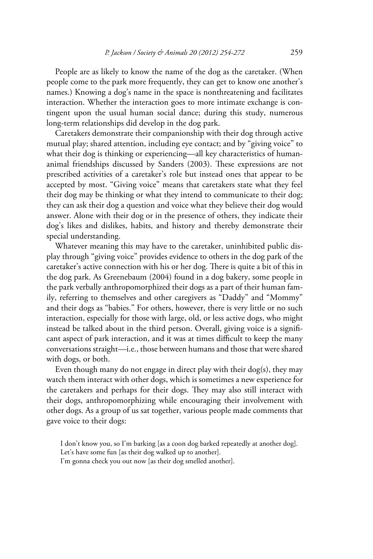People are as likely to know the name of the dog as the caretaker. (When people come to the park more frequently, they can get to know one another's names.) Knowing a dog's name in the space is nonthreatening and facilitates interaction. Whether the interaction goes to more intimate exchange is contingent upon the usual human social dance; during this study, numerous long-term relationships did develop in the dog park.

Caretakers demonstrate their companionship with their dog through active mutual play; shared attention, including eye contact; and by "giving voice" to what their dog is thinking or experiencing—all key characteristics of humananimal friendships discussed by Sanders (2003). These expressions are not prescribed activities of a caretaker's role but instead ones that appear to be accepted by most. "Giving voice" means that caretakers state what they feel their dog may be thinking or what they intend to communicate to their dog; they can ask their dog a question and voice what they believe their dog would answer. Alone with their dog or in the presence of others, they indicate their dog's likes and dislikes, habits, and history and thereby demonstrate their special understanding.

Whatever meaning this may have to the caretaker, uninhibited public display through "giving voice" provides evidence to others in the dog park of the caretaker's active connection with his or her dog. There is quite a bit of this in the dog park. As Greenebaum (2004) found in a dog bakery, some people in the park verbally anthropomorphized their dogs as a part of their human family, referring to themselves and other caregivers as "Daddy" and "Mommy" and their dogs as "babies." For others, however, there is very little or no such interaction, especially for those with large, old, or less active dogs, who might instead be talked about in the third person. Overall, giving voice is a significant aspect of park interaction, and it was at times difficult to keep the many conversations straight—i.e., those between humans and those that were shared with dogs, or both.

Even though many do not engage in direct play with their dog(s), they may watch them interact with other dogs, which is sometimes a new experience for the caretakers and perhaps for their dogs. They may also still interact with their dogs, anthropomorphizing while encouraging their involvement with other dogs. As a group of us sat together, various people made comments that gave voice to their dogs:

I don't know you, so I'm barking [as a coon dog barked repeatedly at another dog]. Let's have some fun [as their dog walked up to another].

I'm gonna check you out now [as their dog smelled another].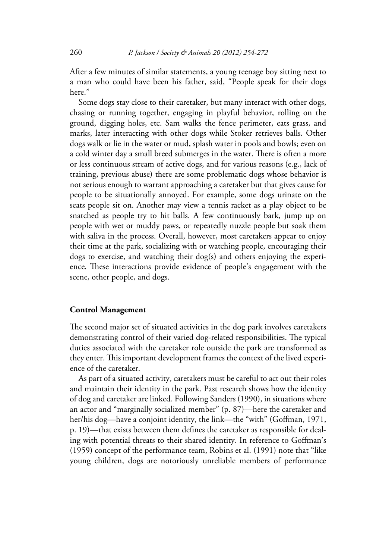After a few minutes of similar statements, a young teenage boy sitting next to a man who could have been his father, said, "People speak for their dogs here"

Some dogs stay close to their caretaker, but many interact with other dogs, chasing or running together, engaging in playful behavior, rolling on the ground, digging holes, etc. Sam walks the fence perimeter, eats grass, and marks, later interacting with other dogs while Stoker retrieves balls. Other dogs walk or lie in the water or mud, splash water in pools and bowls; even on a cold winter day a small breed submerges in the water. There is often a more or less continuous stream of active dogs, and for various reasons (e.g., lack of training, previous abuse) there are some problematic dogs whose behavior is not serious enough to warrant approaching a caretaker but that gives cause for people to be situationally annoyed. For example, some dogs urinate on the seats people sit on. Another may view a tennis racket as a play object to be snatched as people try to hit balls. A few continuously bark, jump up on people with wet or muddy paws, or repeatedly nuzzle people but soak them with saliva in the process. Overall, however, most caretakers appear to enjoy their time at the park, socializing with or watching people, encouraging their dogs to exercise, and watching their dog(s) and others enjoying the experience. These interactions provide evidence of people's engagement with the scene, other people, and dogs.

# **Control Management**

The second major set of situated activities in the dog park involves caretakers demonstrating control of their varied dog-related responsibilities. The typical duties associated with the caretaker role outside the park are transformed as they enter. This important development frames the context of the lived experience of the caretaker.

As part of a situated activity, caretakers must be careful to act out their roles and maintain their identity in the park. Past research shows how the identity of dog and caretaker are linked. Following Sanders (1990), in situations where an actor and "marginally socialized member" (p. 87)—here the caretaker and her/his dog—have a conjoint identity, the link—the "with" (Goffman, 1971, p. 19)—that exists between them defines the caretaker as responsible for dealing with potential threats to their shared identity. In reference to Goffman's (1959) concept of the performance team, Robins et al. (1991) note that "like young children, dogs are notoriously unreliable members of performance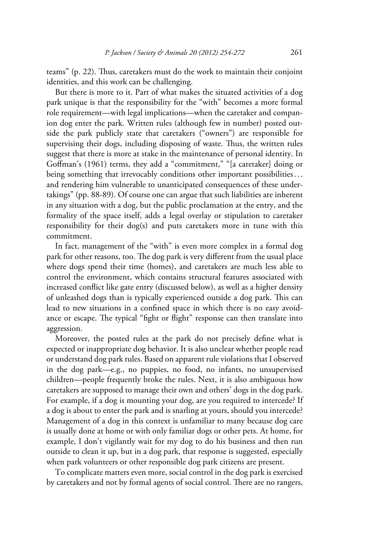teams" (p. 22). Thus, caretakers must do the work to maintain their conjoint identities, and this work can be challenging.

But there is more to it. Part of what makes the situated activities of a dog park unique is that the responsibility for the "with" becomes a more formal role requirement—with legal implications—when the caretaker and companion dog enter the park. Written rules (although few in number) posted outside the park publicly state that caretakers ("owners") are responsible for supervising their dogs, including disposing of waste. Thus, the written rules suggest that there is more at stake in the maintenance of personal identity. In Goffman's (1961) terms, they add a "commitment," "[a caretaker] doing or being something that irrevocably conditions other important possibilities ... and rendering him vulnerable to unanticipated consequences of these undertakings" (pp. 88-89). Of course one can argue that such liabilities are inherent in any situation with a dog, but the public proclamation at the entry, and the formality of the space itself, adds a legal overlay or stipulation to caretaker responsibility for their dog(s) and puts caretakers more in tune with this commitment.

In fact, management of the "with" is even more complex in a formal dog park for other reasons, too. The dog park is very different from the usual place where dogs spend their time (homes), and caretakers are much less able to control the environment, which contains structural features associated with increased conflict like gate entry (discussed below), as well as a higher density of unleashed dogs than is typically experienced outside a dog park. This can lead to new situations in a confined space in which there is no easy avoidance or escape. The typical "fight or flight" response can then translate into aggression.

Moreover, the posted rules at the park do not precisely define what is expected or inappropriate dog behavior. It is also unclear whether people read or understand dog park rules. Based on apparent rule violations that I observed in the dog park—e.g., no puppies, no food, no infants, no unsupervised children—people frequently broke the rules. Next, it is also ambiguous how caretakers are supposed to manage their own and others' dogs in the dog park. For example, if a dog is mounting your dog, are you required to intercede? If a dog is about to enter the park and is snarling at yours, should you intercede? Management of a dog in this context is unfamiliar to many because dog care is usually done at home or with only familiar dogs or other pets. At home, for example, I don't vigilantly wait for my dog to do his business and then run outside to clean it up, but in a dog park, that response is suggested, especially when park volunteers or other responsible dog park citizens are present.

To complicate matters even more, social control in the dog park is exercised by caretakers and not by formal agents of social control. There are no rangers,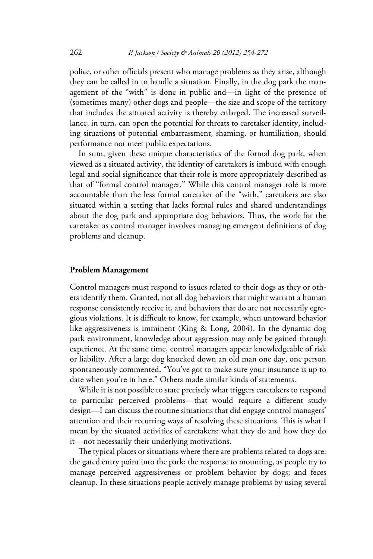police, or other officials present who manage problems as they arise, although they can be called in to handle a situation. Finally, in the dog park the management of the "with" is done in public and—in light of the presence of (sometimes many) other dogs and people—the size and scope of the territory that includes the situated activity is thereby enlarged. The increased surveillance, in turn, can open the potential for threats to caretaker identity, including situations of potential embarrassment, shaming, or humiliation, should performance not meet public expectations.

In sum, given these unique characteristics of the formal dog park, when viewed as a situated activity, the identity of caretakers is imbued with enough legal and social significance that their role is more appropriately described as that of "formal control manager." While this control manager role is more accountable than the less formal caretaker of the "with," caretakers are also situated within a setting that lacks formal rules and shared understandings about the dog park and appropriate dog behaviors. Thus, the work for the caretaker as control manager involves managing emergent definitions of dog problems and cleanup.

#### **Problem Management**

Control managers must respond to issues related to their dogs as they or others identify them. Granted, not all dog behaviors that might warrant a human response consistently receive it, and behaviors that do are not necessarily egregious violations. It is difficult to know, for example, when untoward behavior like aggressiveness is imminent (King & Long, 2004). In the dynamic dog park environment, knowledge about aggression may only be gained through experience. At the same time, control managers appear knowledgeable of risk or liability. After a large dog knocked down an old man one day, one person spontaneously commented, "You've got to make sure your insurance is up to date when you're in here." Others made similar kinds of statements.

While it is not possible to state precisely what triggers caretakers to respond to particular perceived problems—that would require a different study design—I can discuss the routine situations that did engage control managers' attention and their recurring ways of resolving these situations. This is what I mean by the situated activities of caretakers: what they do and how they do it—not necessarily their underlying motivations.

The typical places or situations where there are problems related to dogs are: the gated entry point into the park; the response to mounting, as people try to manage perceived aggressiveness or problem behavior by dogs; and feces cleanup. In these situations people actively manage problems by using several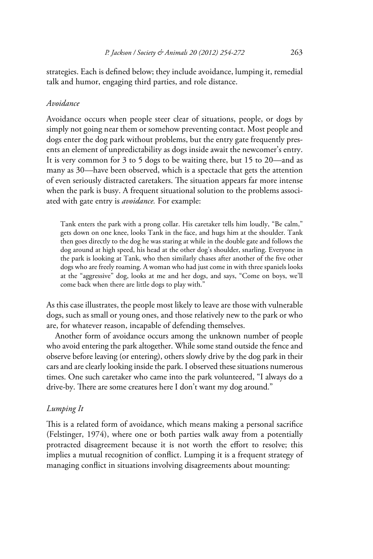strategies. Each is defined below; they include avoidance, lumping it, remedial talk and humor, engaging third parties, and role distance.

# *Avoidance*

Avoidance occurs when people steer clear of situations, people, or dogs by simply not going near them or somehow preventing contact. Most people and dogs enter the dog park without problems, but the entry gate frequently presents an element of unpredictability as dogs inside await the newcomer's entry. It is very common for 3 to 5 dogs to be waiting there, but 15 to 20—and as many as 30—have been observed, which is a spectacle that gets the attention of even seriously distracted caretakers. The situation appears far more intense when the park is busy. A frequent situational solution to the problems associated with gate entry is *avoidance.* For example:

Tank enters the park with a prong collar. His caretaker tells him loudly, "Be calm," gets down on one knee, looks Tank in the face, and hugs him at the shoulder. Tank then goes directly to the dog he was staring at while in the double gate and follows the dog around at high speed, his head at the other dog's shoulder, snarling. Everyone in the park is looking at Tank, who then similarly chases after another of the five other dogs who are freely roaming. A woman who had just come in with three spaniels looks at the "aggressive" dog, looks at me and her dogs, and says, "Come on boys, we'll come back when there are little dogs to play with."

As this case illustrates, the people most likely to leave are those with vulnerable dogs, such as small or young ones, and those relatively new to the park or who are, for whatever reason, incapable of defending themselves.

Another form of avoidance occurs among the unknown number of people who avoid entering the park altogether. While some stand outside the fence and observe before leaving (or entering), others slowly drive by the dog park in their cars and are clearly looking inside the park. I observed these situations numerous times. One such caretaker who came into the park volunteered, "I always do a drive-by. There are some creatures here I don't want my dog around."

# *Lumping It*

This is a related form of avoidance, which means making a personal sacrifice (Felstinger, 1974), where one or both parties walk away from a potentially protracted disagreement because it is not worth the effort to resolve; this implies a mutual recognition of conflict. Lumping it is a frequent strategy of managing conflict in situations involving disagreements about mounting: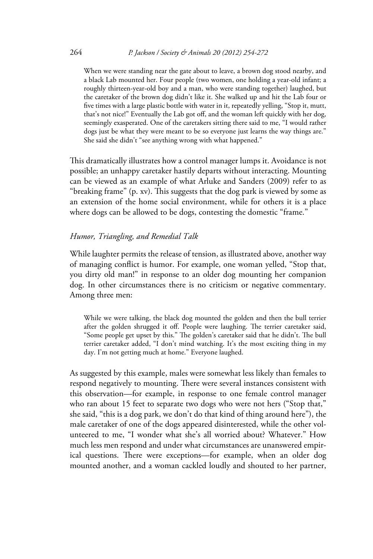When we were standing near the gate about to leave, a brown dog stood nearby, and a black Lab mounted her. Four people (two women, one holding a year-old infant; a roughly thirteen-year-old boy and a man, who were standing together) laughed, but the caretaker of the brown dog didn't like it. She walked up and hit the Lab four or five times with a large plastic bottle with water in it, repeatedly yelling, "Stop it, mutt, that's not nice!" Eventually the Lab got off, and the woman left quickly with her dog, seemingly exasperated. One of the caretakers sitting there said to me, "I would rather dogs just be what they were meant to be so everyone just learns the way things are." She said she didn't "see anything wrong with what happened."

This dramatically illustrates how a control manager lumps it. Avoidance is not possible; an unhappy caretaker hastily departs without interacting. Mounting can be viewed as an example of what Arluke and Sanders (2009) refer to as "breaking frame" (p. xv). This suggests that the dog park is viewed by some as an extension of the home social environment, while for others it is a place where dogs can be allowed to be dogs, contesting the domestic "frame."

# *Humor, Triangling, and Remedial Talk*

While laughter permits the release of tension, as illustrated above, another way of managing conflict is humor. For example, one woman yelled, "Stop that, you dirty old man!" in response to an older dog mounting her companion dog. In other circumstances there is no criticism or negative commentary. Among three men:

While we were talking, the black dog mounted the golden and then the bull terrier after the golden shrugged it off. People were laughing. The terrier caretaker said, "Some people get upset by this." The golden's caretaker said that he didn't. The bull terrier caretaker added, "I don't mind watching. It's the most exciting thing in my day. I'm not getting much at home." Everyone laughed.

As suggested by this example, males were somewhat less likely than females to respond negatively to mounting. There were several instances consistent with this observation—for example, in response to one female control manager who ran about 15 feet to separate two dogs who were not hers ("Stop that," she said, "this is a dog park, we don't do that kind of thing around here"), the male caretaker of one of the dogs appeared disinterested, while the other volunteered to me, "I wonder what she's all worried about? Whatever." How much less men respond and under what circumstances are unanswered empirical questions. There were exceptions—for example, when an older dog mounted another, and a woman cackled loudly and shouted to her partner,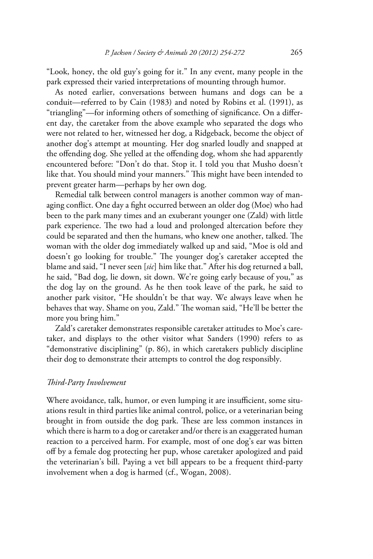"Look, honey, the old guy's going for it." In any event, many people in the park expressed their varied interpretations of mounting through humor.

As noted earlier, conversations between humans and dogs can be a conduit—referred to by Cain (1983) and noted by Robins et al. (1991), as "triangling"—for informing others of something of significance. On a different day, the caretaker from the above example who separated the dogs who were not related to her, witnessed her dog, a Ridgeback, become the object of another dog's attempt at mounting. Her dog snarled loudly and snapped at the offending dog. She yelled at the offending dog, whom she had apparently encountered before: "Don't do that. Stop it. I told you that Musho doesn't like that. You should mind your manners." This might have been intended to prevent greater harm—perhaps by her own dog.

Remedial talk between control managers is another common way of managing conflict. One day a fight occurred between an older dog (Moe) who had been to the park many times and an exuberant younger one (Zald) with little park experience. The two had a loud and prolonged altercation before they could be separated and then the humans, who knew one another, talked. The woman with the older dog immediately walked up and said, "Moe is old and doesn't go looking for trouble." The younger dog's caretaker accepted the blame and said, "I never seen [*sic*] him like that." After his dog returned a ball, he said, "Bad dog, lie down, sit down. We're going early because of you," as the dog lay on the ground. As he then took leave of the park, he said to another park visitor, "He shouldn't be that way. We always leave when he behaves that way. Shame on you, Zald." The woman said, "He'll be better the more you bring him."

Zald's caretaker demonstrates responsible caretaker attitudes to Moe's caretaker, and displays to the other visitor what Sanders (1990) refers to as "demonstrative disciplining" (p. 86), in which caretakers publicly discipline their dog to demonstrate their attempts to control the dog responsibly.

# *Third-Party Involvement*

Where avoidance, talk, humor, or even lumping it are insufficient, some situations result in third parties like animal control, police, or a veterinarian being brought in from outside the dog park. These are less common instances in which there is harm to a dog or caretaker and/or there is an exaggerated human reaction to a perceived harm. For example, most of one dog's ear was bitten off by a female dog protecting her pup, whose caretaker apologized and paid the veterinarian's bill. Paying a vet bill appears to be a frequent third-party involvement when a dog is harmed (cf., Wogan, 2008).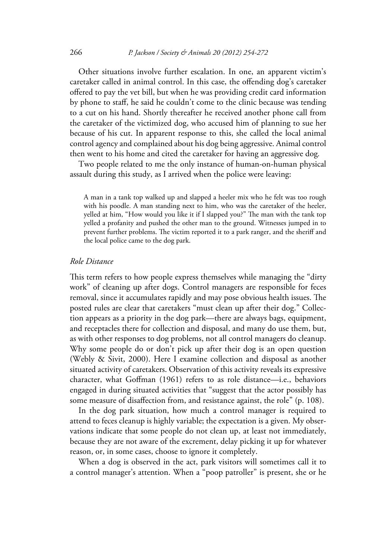Other situations involve further escalation. In one, an apparent victim's caretaker called in animal control. In this case, the offending dog's caretaker offered to pay the vet bill, but when he was providing credit card information by phone to staff, he said he couldn't come to the clinic because was tending to a cut on his hand. Shortly thereafter he received another phone call from the caretaker of the victimized dog, who accused him of planning to sue her because of his cut. In apparent response to this, she called the local animal control agency and complained about his dog being aggressive. Animal control then went to his home and cited the caretaker for having an aggressive dog*.*

Two people related to me the only instance of human-on-human physical assault during this study, as I arrived when the police were leaving:

A man in a tank top walked up and slapped a heeler mix who he felt was too rough with his poodle. A man standing next to him, who was the caretaker of the heeler, yelled at him, "How would you like it if I slapped you?" The man with the tank top yelled a profanity and pushed the other man to the ground. Witnesses jumped in to prevent further problems. The victim reported it to a park ranger, and the sheriff and the local police came to the dog park.

#### *Role Distance*

This term refers to how people express themselves while managing the "dirty work" of cleaning up after dogs. Control managers are responsible for feces removal, since it accumulates rapidly and may pose obvious health issues. The posted rules are clear that caretakers "must clean up after their dog." Collection appears as a priority in the dog park—there are always bags, equipment, and receptacles there for collection and disposal, and many do use them, but, as with other responses to dog problems, not all control managers do cleanup. Why some people do or don't pick up after their dog is an open question (Webly & Sivit, 2000). Here I examine collection and disposal as another situated activity of caretakers. Observation of this activity reveals its expressive character, what Goffman (1961) refers to as role distance—i.e., behaviors engaged in during situated activities that "suggest that the actor possibly has some measure of disaffection from, and resistance against, the role" (p. 108).

In the dog park situation, how much a control manager is required to attend to feces cleanup is highly variable; the expectation is a given. My observations indicate that some people do not clean up, at least not immediately, because they are not aware of the excrement, delay picking it up for whatever reason, or, in some cases, choose to ignore it completely.

When a dog is observed in the act, park visitors will sometimes call it to a control manager's attention. When a "poop patroller" is present, she or he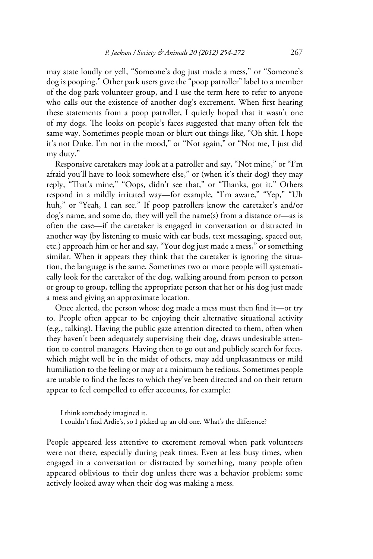may state loudly or yell, "Someone's dog just made a mess," or "Someone's dog is pooping." Other park users gave the "poop patroller" label to a member of the dog park volunteer group, and I use the term here to refer to anyone who calls out the existence of another dog's excrement. When first hearing these statements from a poop patroller, I quietly hoped that it wasn't one of my dogs. The looks on people's faces suggested that many often felt the same way. Sometimes people moan or blurt out things like, "Oh shit. I hope it's not Duke. I'm not in the mood," or "Not again," or "Not me, I just did my duty."

Responsive caretakers may look at a patroller and say, "Not mine," or "I'm afraid you'll have to look somewhere else," or (when it's their dog) they may reply, "That's mine," "Oops, didn't see that," or "Thanks, got it." Others respond in a mildly irritated way—for example, "I'm aware," "Yep," "Uh huh," or "Yeah, I can see." If poop patrollers know the caretaker's and/or dog's name, and some do, they will yell the name(s) from a distance or—as is often the case—if the caretaker is engaged in conversation or distracted in another way (by listening to music with ear buds, text messaging, spaced out, etc.) approach him or her and say, "Your dog just made a mess," or something similar. When it appears they think that the caretaker is ignoring the situation, the language is the same. Sometimes two or more people will systematically look for the caretaker of the dog, walking around from person to person or group to group, telling the appropriate person that her or his dog just made a mess and giving an approximate location.

Once alerted, the person whose dog made a mess must then find it—or try to. People often appear to be enjoying their alternative situational activity (e.g., talking). Having the public gaze attention directed to them, often when they haven't been adequately supervising their dog, draws undesirable attention to control managers. Having then to go out and publicly search for feces, which might well be in the midst of others, may add unpleasantness or mild humiliation to the feeling or may at a minimum be tedious. Sometimes people are unable to find the feces to which they've been directed and on their return appear to feel compelled to offer accounts, for example:

I think somebody imagined it.

I couldn't find Ardie's, so I picked up an old one. What's the difference?

People appeared less attentive to excrement removal when park volunteers were not there, especially during peak times. Even at less busy times, when engaged in a conversation or distracted by something, many people often appeared oblivious to their dog unless there was a behavior problem; some actively looked away when their dog was making a mess.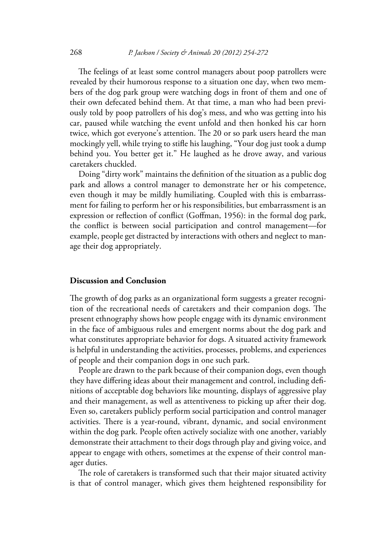The feelings of at least some control managers about poop patrollers were revealed by their humorous response to a situation one day, when two members of the dog park group were watching dogs in front of them and one of their own defecated behind them. At that time, a man who had been previously told by poop patrollers of his dog's mess, and who was getting into his car, paused while watching the event unfold and then honked his car horn twice, which got everyone's attention. The 20 or so park users heard the man mockingly yell, while trying to stifle his laughing, "Your dog just took a dump behind you. You better get it." He laughed as he drove away, and various caretakers chuckled.

Doing "dirty work" maintains the definition of the situation as a public dog park and allows a control manager to demonstrate her or his competence, even though it may be mildly humiliating. Coupled with this is embarrassment for failing to perform her or his responsibilities, but embarrassment is an expression or reflection of conflict (Goffman, 1956): in the formal dog park, the conflict is between social participation and control management—for example, people get distracted by interactions with others and neglect to manage their dog appropriately.

# **Discussion and Conclusion**

The growth of dog parks as an organizational form suggests a greater recognition of the recreational needs of caretakers and their companion dogs. The present ethnography shows how people engage with its dynamic environment in the face of ambiguous rules and emergent norms about the dog park and what constitutes appropriate behavior for dogs. A situated activity framework is helpful in understanding the activities, processes, problems, and experiences of people and their companion dogs in one such park.

People are drawn to the park because of their companion dogs, even though they have differing ideas about their management and control, including definitions of acceptable dog behaviors like mounting, displays of aggressive play and their management, as well as attentiveness to picking up after their dog. Even so, caretakers publicly perform social participation and control manager activities. There is a year-round, vibrant, dynamic, and social environment within the dog park. People often actively socialize with one another, variably demonstrate their attachment to their dogs through play and giving voice, and appear to engage with others, sometimes at the expense of their control manager duties.

The role of caretakers is transformed such that their major situated activity is that of control manager, which gives them heightened responsibility for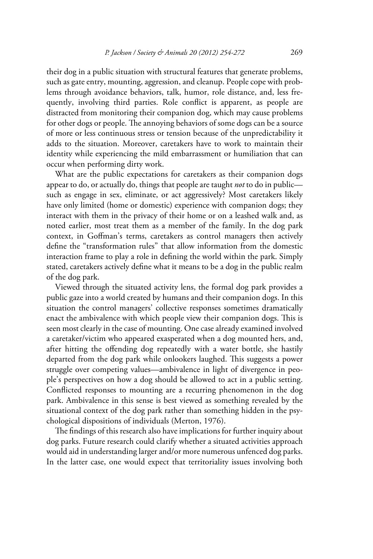their dog in a public situation with structural features that generate problems, such as gate entry, mounting, aggression, and cleanup. People cope with problems through avoidance behaviors, talk, humor, role distance, and, less frequently, involving third parties. Role conflict is apparent, as people are distracted from monitoring their companion dog, which may cause problems for other dogs or people. The annoying behaviors of some dogs can be a source of more or less continuous stress or tension because of the unpredictability it adds to the situation. Moreover, caretakers have to work to maintain their identity while experiencing the mild embarrassment or humiliation that can occur when performing dirty work.

What are the public expectations for caretakers as their companion dogs appear to do, or actually do, things that people are taught *not* to do in public such as engage in sex, eliminate, or act aggressively? Most caretakers likely have only limited (home or domestic) experience with companion dogs; they interact with them in the privacy of their home or on a leashed walk and, as noted earlier, most treat them as a member of the family. In the dog park context, in Goffman's terms, caretakers as control managers then actively define the "transformation rules" that allow information from the domestic interaction frame to play a role in defining the world within the park. Simply stated, caretakers actively define what it means to be a dog in the public realm of the dog park.

Viewed through the situated activity lens, the formal dog park provides a public gaze into a world created by humans and their companion dogs. In this situation the control managers' collective responses sometimes dramatically enact the ambivalence with which people view their companion dogs. This is seen most clearly in the case of mounting. One case already examined involved a caretaker/victim who appeared exasperated when a dog mounted hers, and, after hitting the offending dog repeatedly with a water bottle, she hastily departed from the dog park while onlookers laughed. This suggests a power struggle over competing values—ambivalence in light of divergence in people's perspectives on how a dog should be allowed to act in a public setting. Conflicted responses to mounting are a recurring phenomenon in the dog park. Ambivalence in this sense is best viewed as something revealed by the situational context of the dog park rather than something hidden in the psychological dispositions of individuals (Merton, 1976).

The findings of this research also have implications for further inquiry about dog parks. Future research could clarify whether a situated activities approach would aid in understanding larger and/or more numerous unfenced dog parks. In the latter case, one would expect that territoriality issues involving both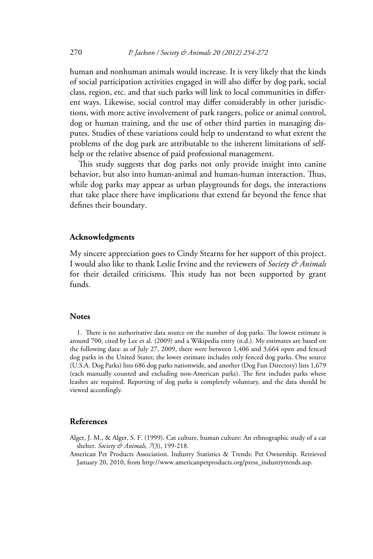human and nonhuman animals would increase. It is very likely that the kinds of social participation activities engaged in will also differ by dog park, social class, region, etc. and that such parks will link to local communities in different ways. Likewise, social control may differ considerably in other jurisdictions, with more active involvement of park rangers, police or animal control, dog or human training, and the use of other third parties in managing disputes. Studies of these variations could help to understand to what extent the problems of the dog park are attributable to the inherent limitations of selfhelp or the relative absence of paid professional management.

This study suggests that dog parks not only provide insight into canine behavior, but also into human-animal and human-human interaction. Thus, while dog parks may appear as urban playgrounds for dogs, the interactions that take place there have implications that extend far beyond the fence that defines their boundary.

#### **Acknowledgments**

My sincere appreciation goes to Cindy Stearns for her support of this project. I would also like to thank Leslie Irvine and the reviewers of *Society & Animals*  for their detailed criticisms. This study has not been supported by grant funds.

#### **Notes**

1. There is no authoritative data source on the number of dog parks. The lowest estimate is around 700, cited by Lee et al. (2009) and a Wikipedia entry (n.d.). My estimates are based on the following data: as of July 27, 2009, there were between 1,406 and 3,664 open and fenced dog parks in the United States; the lower estimate includes only fenced dog parks. One source (U.S.A. Dog Parks) lists 686 dog parks nationwide, and another (Dog Fun Directory) lists 1,679 (each manually counted and excluding non-American parks). The first includes parks where leashes are required. Reporting of dog parks is completely voluntary, and the data should be viewed accordingly.

# **References**

Alger, J. M., & Alger, S. F. (1999). Cat culture, human culture: An ethnographic study of a cat shelter. *Society & Animals, 7*(3), 199-218.

American Pet Products Association. Industry Statistics & Trends: Pet Ownership. Retrieved January 20, 2010, from http://www.americanpetproducts.org/press\_industrytrends.asp.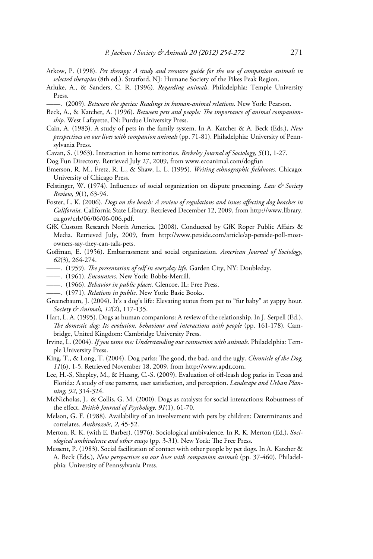- Arkow, P. (1998). *Pet therapy: A study and resource guide for the use of companion animals in selected therapies* (8th ed.). Stratford, NJ: Humane Society of the Pikes Peak Region.
- Arluke, A., & Sanders, C. R. (1996). *Regarding animals*. Philadelphia: Temple University Press.
- ——. (2009). *Between the species: Readings in human-animal relations.* New York: Pearson.
- Beck, A., & Katcher, A. (1996). *Between pets and people: The importance of animal companionship.* West Lafayette, IN: Purdue University Press.
- Cain, A. (1983). A study of pets in the family system. In A. Katcher & A. Beck (Eds.), *New perspectives on our lives with companion animals* (pp. 71-81). Philadelphia: University of Pennsylvania Press.
- Cavan, S. (1963). Interaction in home territories. *Berkeley Journal of Sociology, 5*(1), 1-27.
- Dog Fun Directory. Retrieved July 27, 2009, from www.ecoanimal.com/dogfun
- Emerson, R. M., Fretz, R. L., & Shaw, L. L. (1995). *Writing ethnographic fieldnotes*. Chicago: University of Chicago Press.
- Felstinger, W. (1974). Influences of social organization on dispute processing. *Law & Society Review, 9*(1), 63-94.
- Foster, L. K. (2006). *Dogs on the beach: A review of regulations and issues affecting dog beaches in California*. California State Library. Retrieved December 12, 2009, from http://www.library. ca.gov/crb/06/06/06-006.pdf.
- GfK Custom Research North America. (2008). Conducted by GfK Roper Public Affairs & Media. Retrieved July, 2009, from http://www.petside.com/article/ap-petside-poll-mostowners-say-they-can-talk-pets.
- Goffman, E. (1956). Embarrassment and social organization. *American Journal of Sociology, 62*(3), 264-274.
- ——. (1959). *The presentation of self in everyday life.* Garden City, NY: Doubleday.
- ——. (1961). *Encounters.* New York: Bobbs-Merrill.
- ——. (1966). *Behavior in public places.* Glencoe, IL: Free Press.
- ——. (1971). *Relations in public.* New York: Basic Books.
- Greenebaum, J. (2004). It's a dog's life: Elevating status from pet to "fur baby" at yappy hour. *Society & Animals, 12*(2), 117-135.
- Hart, L. A. (1995). Dogs as human companions: A review of the relationship. In J. Serpell (Ed.), *The domestic dog: Its evolution, behaviour and interactions with people* (pp. 161-178)*.* Cambridge, United Kingdom: Cambridge University Press.
- Irvine, L. (2004). *If you tame me: Understanding our connection with animals.* Philadelphia: Temple University Press.
- King, T., & Long, T. (2004). Dog parks: The good, the bad, and the ugly. *Chronicle of the Dog, 11*(6), 1-5. Retrieved November 18, 2009, from http://www.apdt.com.
- Lee, H.-S, Shepley, M., & Huang, C.-S. (2009). Evaluation of off-leash dog parks in Texas and Florida: A study of use patterns, user satisfaction, and perception. *Landscape and Urban Planning, 92*, 314-324.
- McNicholas, J., & Collis, G. M. (2000). Dogs as catalysts for social interactions: Robustness of the effect. *British Journal of Psychology, 91*(1), 61-70.
- Melson, G. F. (1988). Availability of an involvement with pets by children: Determinants and correlates. *Anthrozoös, 2*, 45-52.
- Merton, R. K. (with E. Barber). (1976). Sociological ambivalence. In R. K. Merton (Ed.), *Sociological ambivalence and other essays* (pp. 3-31)*.* New York: The Free Press.
- Messent, P. (1983). Social facilitation of contact with other people by pet dogs. In A. Katcher & A. Beck (Eds.), *New perspectives on our lives with companion animals* (pp. 37-460)*.* Philadelphia: University of Pennsylvania Press.